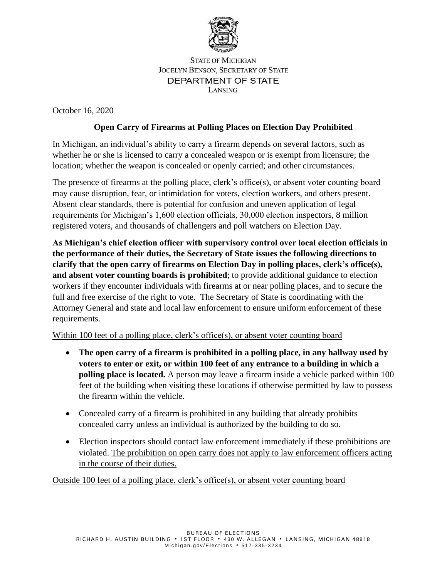

**STATE OF MICHIGAN JOCELYN BENSON, SECRETARY OF STATE** DEPARTMENT OF STATE LANSING

October 16, 2020

## **Open Carry of Firearms at Polling Places on Election Day Prohibited**

In Michigan, an individual's ability to carry a firearm depends on several factors, such as whether he or she is licensed to carry a concealed weapon or is exempt from licensure; the location; whether the weapon is concealed or openly carried; and other circumstances.

The presence of firearms at the polling place, clerk's office(s), or absent voter counting board may cause disruption, fear, or intimidation for voters, election workers, and others present. Absent clear standards, there is potential for confusion and uneven application of legal requirements for Michigan's 1,600 election officials, 30,000 election inspectors, 8 million registered voters, and thousands of challengers and poll watchers on Election Day.

**As Michigan's chief election officer with supervisory control over local election officials in the performance of their duties, the Secretary of State issues the following directions to clarify that the open carry of firearms on Election Day in polling places, clerk's office(s), and absent voter counting boards is prohibited**; to provide additional guidance to election workers if they encounter individuals with firearms at or near polling places, and to secure the full and free exercise of the right to vote. The Secretary of State is coordinating with the Attorney General and state and local law enforcement to ensure uniform enforcement of these requirements.

Within 100 feet of a polling place, clerk's office(s), or absent voter counting board

- **The open carry of a firearm is prohibited in a polling place, in any hallway used by voters to enter or exit, or within 100 feet of any entrance to a building in which a polling place is located.** A person may leave a firearm inside a vehicle parked within 100 feet of the building when visiting these locations if otherwise permitted by law to possess the firearm within the vehicle.
- Concealed carry of a firearm is prohibited in any building that already prohibits concealed carry unless an individual is authorized by the building to do so.
- Election inspectors should contact law enforcement immediately if these prohibitions are violated. The prohibition on open carry does not apply to law enforcement officers acting in the course of their duties.

Outside 100 feet of a polling place, clerk's office(s), or absent voter counting board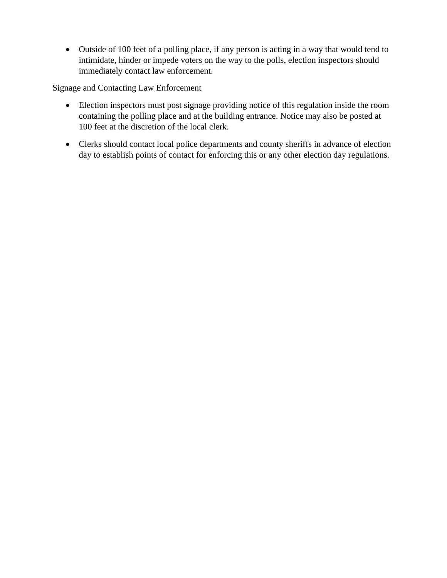• Outside of 100 feet of a polling place, if any person is acting in a way that would tend to intimidate, hinder or impede voters on the way to the polls, election inspectors should immediately contact law enforcement.

## Signage and Contacting Law Enforcement

- Election inspectors must post signage providing notice of this regulation inside the room containing the polling place and at the building entrance. Notice may also be posted at 100 feet at the discretion of the local clerk.
- Clerks should contact local police departments and county sheriffs in advance of election day to establish points of contact for enforcing this or any other election day regulations.